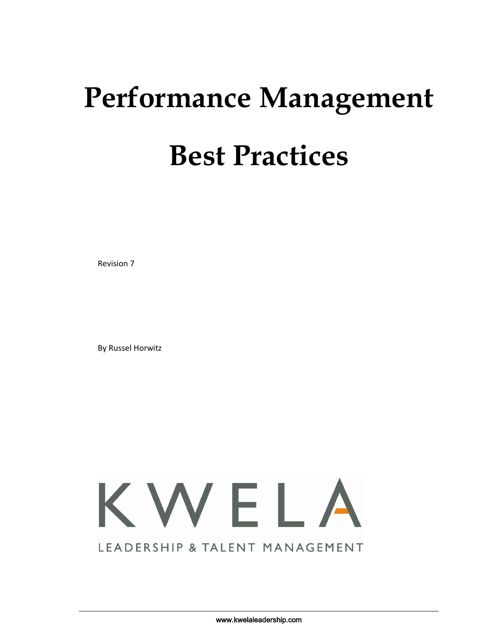# **Performance Management Best Practices**

Revision 7

By Russel Horwitz



www.kwelaleadership.com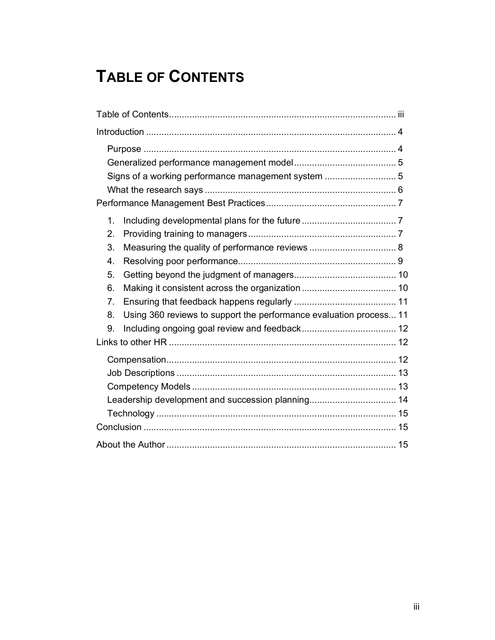# **TABLE OF CONTENTS**

| Signs of a working performance management system  5                      |  |
|--------------------------------------------------------------------------|--|
|                                                                          |  |
|                                                                          |  |
| 1.                                                                       |  |
| 2.                                                                       |  |
| 3.                                                                       |  |
| 4.                                                                       |  |
| 5.                                                                       |  |
| 6.                                                                       |  |
| 7.                                                                       |  |
| Using 360 reviews to support the performance evaluation process 11<br>8. |  |
| 9.                                                                       |  |
|                                                                          |  |
|                                                                          |  |
|                                                                          |  |
|                                                                          |  |
|                                                                          |  |
|                                                                          |  |
|                                                                          |  |
|                                                                          |  |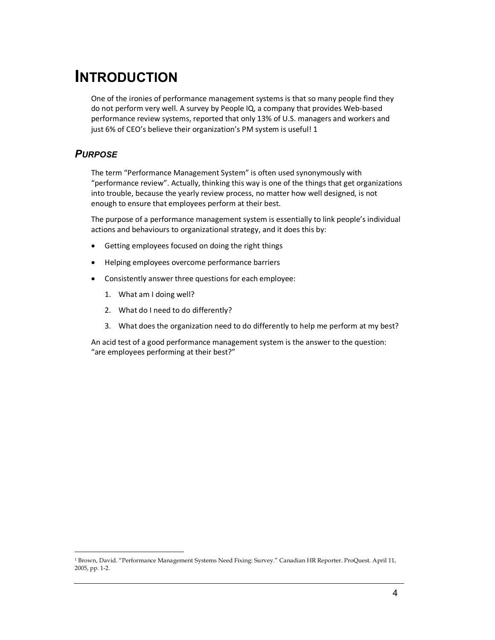# **INTRODUCTION**

One of the ironies of performance management systems is that so many people find they do not perform very well. A survey by People IQ, a company that provides Web-based performance review systems, reported that only 13% of U.S. managers and workers and just 6% of CEO's believe their organization's PM system is useful! 1

# *PURPOSE*

The term "Performance Management System" is often used synonymously with "performance review". Actually, thinking this way is one of the things that get organizations into trouble, because the yearly review process, no matter how well designed, is not enough to ensure that employees perform at their best.

The purpose of a performance management system is essentially to link people's individual actions and behaviours to organizational strategy, and it does this by:

- Getting employees focused on doing the right things
- Helping employees overcome performance barriers
- Consistently answer three questions for each employee:
	- 1. What am I doing well?
	- 2. What do I need to do differently?
	- 3. What does the organization need to do differently to help me perform at my best?

An acid test of a good performance management system is the answer to the question: "are employees performing at their best?"

<sup>1</sup> Brown, David. "Performance Management Systems Need Fixing: Survey." Canadian HR Reporter. ProQuest. April 11, 2005, pp. 1-2.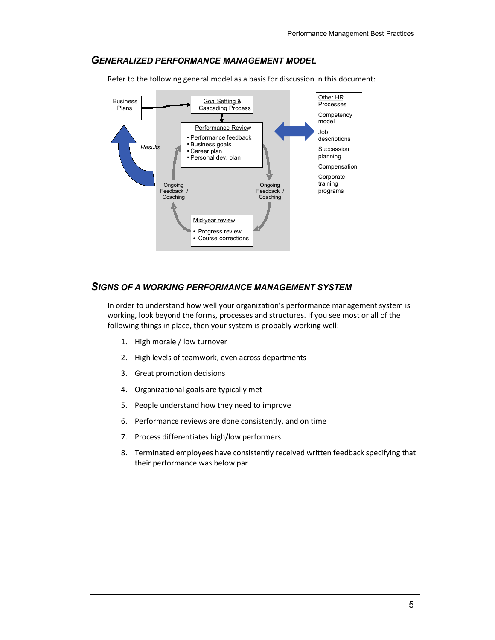#### *GENERALIZED PERFORMANCE MANAGEMENT MODEL*

Refer to the following general model as a basis for discussion in this document:



#### *SIGNS OF A WORKING PERFORMANCE MANAGEMENT SYSTEM*

In order to understand how well your organization's performance management system is working, look beyond the forms, processes and structures. If you see most or all of the following things in place, then your system is probably working well:

- 1. High morale / low turnover
- 2. High levels of teamwork, even across departments
- 3. Great promotion decisions
- 4. Organizational goals are typically met
- 5. People understand how they need to improve
- 6. Performance reviews are done consistently, and on time
- 7. Process differentiates high/low performers
- 8. Terminated employees have consistently received written feedback specifying that their performance was below par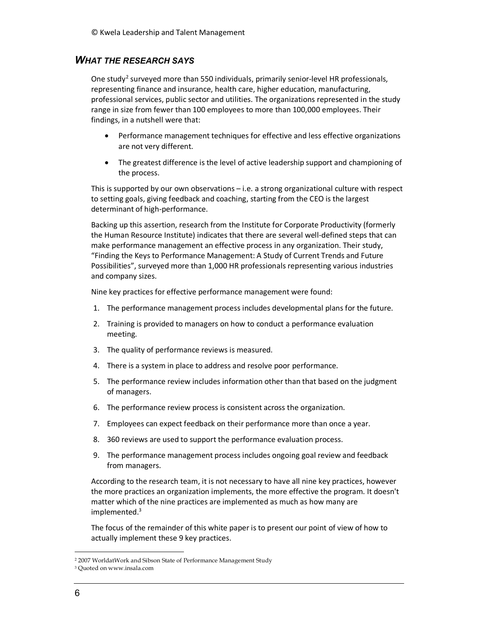## *WHAT THE RESEARCH SAYS*

One study<sup>2</sup> surveyed more than 550 individuals, primarily senior-level HR professionals, representing finance and insurance, health care, higher education, manufacturing, professional services, public sector and utilities. The organizations represented in the study range in size from fewer than 100 employees to more than 100,000 employees. Their findings, in a nutshell were that:

- Performance management techniques for effective and less effective organizations are not very different.
- The greatest difference is the level of active leadership support and championing of the process.

This is supported by our own observations – i.e. a strong organizational culture with respect to setting goals, giving feedback and coaching, starting from the CEO is the largest determinant of high-performance.

Backing up this assertion, research from the Institute for Corporate Productivity (formerly the Human Resource Institute) indicates that there are several well-defined steps that can make performance management an effective process in any organization. Their study, "Finding the Keys to Performance Management: A Study of Current Trends and Future Possibilities", surveyed more than 1,000 HR professionals representing various industries and company sizes.

Nine key practices for effective performance management were found:

- 1. The performance management process includes developmental plans for the future.
- 2. Training is provided to managers on how to conduct a performance evaluation meeting.
- 3. The quality of performance reviews is measured.
- 4. There is a system in place to address and resolve poor performance.
- 5. The performance review includes information other than that based on the judgment of managers.
- 6. The performance review process is consistent across the organization.
- 7. Employees can expect feedback on their performance more than once a year.
- 8. 360 reviews are used to support the performance evaluation process.
- 9. The performance management process includes ongoing goal review and feedback from managers.

According to the research team, it is not necessary to have all nine key practices, however the more practices an organization implements, the more effective the program. It doesn't matter which of the nine practices are implemented as much as how many are implemented.<sup>3</sup>

The focus of the remainder of this white paper is to present our point of view of how to actually implement these 9 key practices.

<sup>2</sup> 2007 WorldatWork and Sibson State of Performance Management Study

<sup>3</sup> Quoted on www.insala.com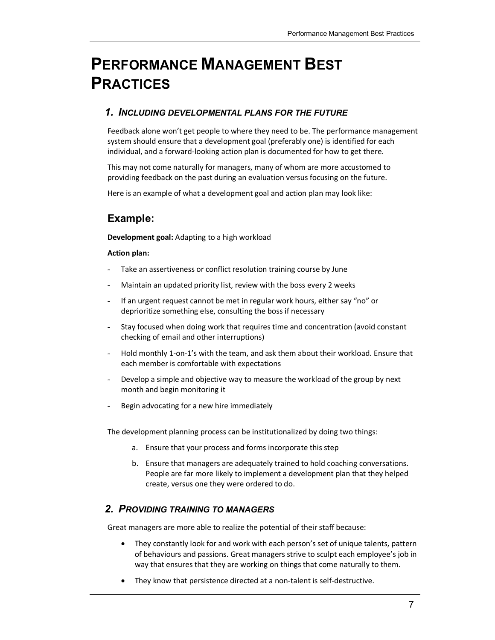# **PERFORMANCE MANAGEMENT BEST PRACTICES**

## *1. INCLUDING DEVELOPMENTAL PLANS FOR THE FUTURE*

Feedback alone won't get people to where they need to be. The performance management system should ensure that a development goal (preferably one) is identified for each individual, and a forward-looking action plan is documented for how to get there.

This may not come naturally for managers, many of whom are more accustomed to providing feedback on the past during an evaluation versus focusing on the future.

Here is an example of what a development goal and action plan may look like:

# **Example:**

**Development goal:** Adapting to a high workload

#### **Action plan:**

- Take an assertiveness or conflict resolution training course by June
- Maintain an updated priority list, review with the boss every 2 weeks
- If an urgent request cannot be met in regular work hours, either say "no" or deprioritize something else, consulting the boss if necessary
- Stay focused when doing work that requires time and concentration (avoid constant checking of email and other interruptions)
- Hold monthly 1-on-1's with the team, and ask them about their workload. Ensure that each member is comfortable with expectations
- Develop a simple and objective way to measure the workload of the group by next month and begin monitoring it
- Begin advocating for a new hire immediately

The development planning process can be institutionalized by doing two things:

- a. Ensure that your process and forms incorporate this step
- b. Ensure that managers are adequately trained to hold coaching conversations. People are far more likely to implement a development plan that they helped create, versus one they were ordered to do.

# *2. PROVIDING TRAINING TO MANAGERS*

Great managers are more able to realize the potential of their staff because:

- They constantly look for and work with each person's set of unique talents, pattern of behaviours and passions. Great managers strive to sculpt each employee's job in way that ensures that they are working on things that come naturally to them.
- They know that persistence directed at a non-talent is self-destructive.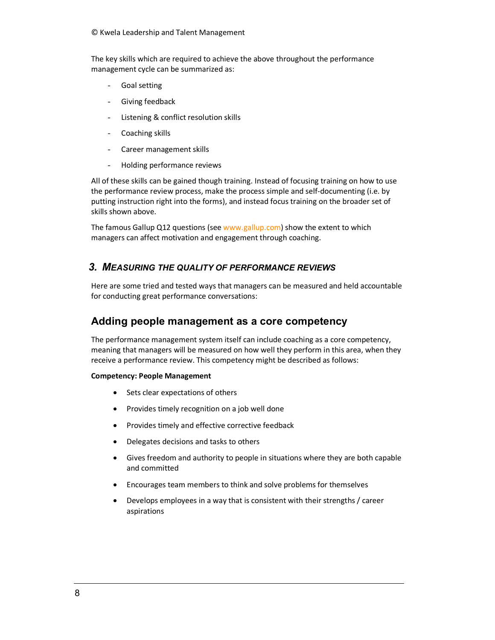#### © Kwela Leadership and Talent Management

The key skills which are required to achieve the above throughout the performance management cycle can be summarized as:

- Goal setting
- Giving feedback
- Listening & conflict resolution skills
- Coaching skills
- Career management skills
- Holding performance reviews

All of these skills can be gained though training. Instead of focusing training on how to use the performance review process, make the process simple and self-documenting (i.e. by putting instruction right into the forms), and instead focus training on the broader set of skills shown above.

The famous Gallup Q12 questions (see www.gallup.com) show the extent to which managers can affect motivation and engagement through coaching.

## *3. MEASURING THE QUALITY OF PERFORMANCE REVIEWS*

Here are some tried and tested ways that managers can be measured and held accountable for conducting great performance conversations:

# **Adding people management as a core competency**

The performance management system itself can include coaching as a core competency, meaning that managers will be measured on how well they perform in this area, when they receive a performance review. This competency might be described as follows:

#### **Competency: People Management**

- Sets clear expectations of others
- Provides timely recognition on a job well done
- Provides timely and effective corrective feedback
- Delegates decisions and tasks to others
- Gives freedom and authority to people in situations where they are both capable and committed
- Encourages team members to think and solve problems for themselves
- Develops employees in a way that is consistent with their strengths / career aspirations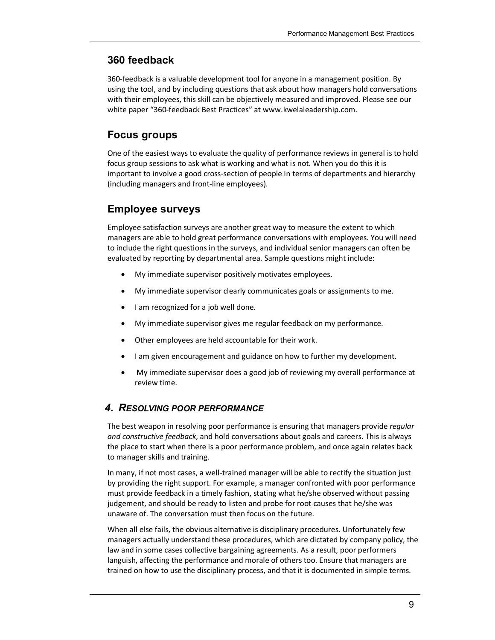# **360 feedback**

360-feedback is a valuable development tool for anyone in a management position. By using the tool, and by including questions that ask about how managers hold conversations with their employees, this skill can be objectively measured and improved. Please see our white paper "360-feedback Best Practices" at www.kwelaleadership.com.

# **Focus groups**

One of the easiest ways to evaluate the quality of performance reviews in general is to hold focus group sessions to ask what is working and what is not. When you do this it is important to involve a good cross-section of people in terms of departments and hierarchy (including managers and front-line employees).

# **Employee surveys**

Employee satisfaction surveys are another great way to measure the extent to which managers are able to hold great performance conversations with employees. You will need to include the right questions in the surveys, and individual senior managers can often be evaluated by reporting by departmental area. Sample questions might include:

- My immediate supervisor positively motivates employees.
- My immediate supervisor clearly communicates goals or assignments to me.
- I am recognized for a job well done.
- My immediate supervisor gives me regular feedback on my performance.
- Other employees are held accountable for their work.
- I am given encouragement and guidance on how to further my development.
- My immediate supervisor does a good job of reviewing my overall performance at review time.

# *4. RESOLVING POOR PERFORMANCE*

The best weapon in resolving poor performance is ensuring that managers provide *regular and constructive feedback*, and hold conversations about goals and careers. This is always the place to start when there is a poor performance problem, and once again relates back to manager skills and training.

In many, if not most cases, a well-trained manager will be able to rectify the situation just by providing the right support. For example, a manager confronted with poor performance must provide feedback in a timely fashion, stating what he/she observed without passing judgement, and should be ready to listen and probe for root causes that he/she was unaware of. The conversation must then focus on the future.

When all else fails, the obvious alternative is disciplinary procedures. Unfortunately few managers actually understand these procedures, which are dictated by company policy, the law and in some cases collective bargaining agreements. As a result, poor performers languish, affecting the performance and morale of others too. Ensure that managers are trained on how to use the disciplinary process, and that it is documented in simple terms.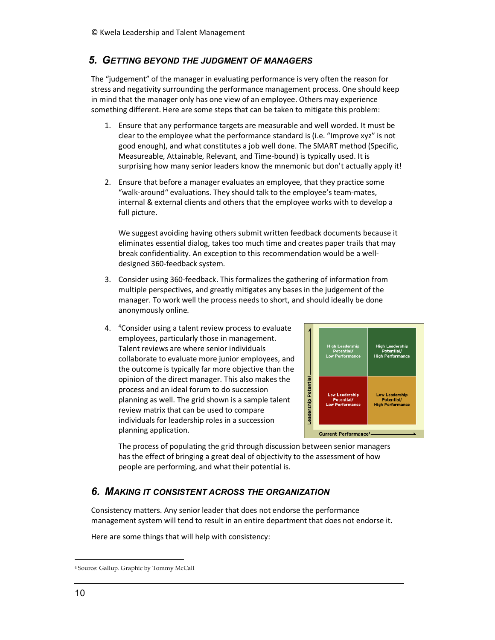## *5. GETTING BEYOND THE JUDGMENT OF MANAGERS*

The "judgement" of the manager in evaluating performance is very often the reason for stress and negativity surrounding the performance management process. One should keep in mind that the manager only has one view of an employee. Others may experience something different. Here are some steps that can be taken to mitigate this problem:

- 1. Ensure that any performance targets are measurable and well worded. It must be clear to the employee what the performance standard is (i.e. "Improve xyz" is not good enough), and what constitutes a job well done. The SMART method (Specific, Measureable, Attainable, Relevant, and Time-bound) is typically used. It is surprising how many senior leaders know the mnemonic but don't actually apply it!
- 2. Ensure that before a manager evaluates an employee, that they practice some "walk-around" evaluations. They should talk to the employee's team-mates, internal & external clients and others that the employee works with to develop a full picture.

We suggest avoiding having others submit written feedback documents because it eliminates essential dialog, takes too much time and creates paper trails that may break confidentiality. An exception to this recommendation would be a welldesigned 360-feedback system.

- 3. Consider using 360-feedback. This formalizes the gathering of information from multiple perspectives, and greatly mitigates any bases in the judgement of the manager. To work well the process needs to short, and should ideally be done anonymously online.
- 4. <sup>4</sup>Consider using a talent review process to evaluate employees, particularly those in management. Talent reviews are where senior individuals collaborate to evaluate more junior employees, and the outcome is typically far more objective than the opinion of the direct manager. This also makes the process and an ideal forum to do succession planning as well. The grid shown is a sample talent review matrix that can be used to compare individuals for leadership roles in a succession planning application.



The process of populating the grid through discussion between senior managers has the effect of bringing a great deal of objectivity to the assessment of how people are performing, and what their potential is.

# *6. MAKING IT CONSISTENT ACROSS THE ORGANIZATION*

Consistency matters. Any senior leader that does not endorse the performance management system will tend to result in an entire department that does not endorse it.

Here are some things that will help with consistency:

<sup>4</sup> Source: Gallup. Graphic by Tommy McCall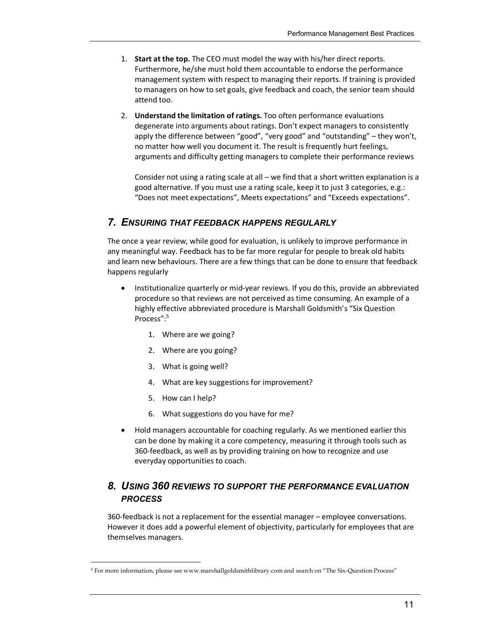- 1. **Start at the top.** The CEO must model the way with his/her direct reports. Furthermore, he/she must hold them accountable to endorse the performance management system with respect to managing their reports. If training is provided to managers on how to set goals, give feedback and coach, the senior team should attend too.
- 2. **Understand the limitation of ratings.** Too often performance evaluations degenerate into arguments about ratings. Don't expect managers to consistently apply the difference between "good", "very good" and "outstanding" – they won't, no matter how well you document it. The result is frequently hurt feelings, arguments and difficulty getting managers to complete their performance reviews

Consider not using a rating scale at all – we find that a short written explanation is a good alternative. If you must use a rating scale, keep it to just 3 categories, e.g.: "Does not meet expectations", Meets expectations" and "Exceeds expectations".

# *7. ENSURING THAT FEEDBACK HAPPENS REGULARLY*

The once a year review, while good for evaluation, is unlikely to improve performance in any meaningful way. Feedback has to be far more regular for people to break old habits and learn new behaviours. There are a few things that can be done to ensure that feedback happens regularly

- Institutionalize quarterly or mid-year reviews. If you do this, provide an abbreviated procedure so that reviews are not perceived as time consuming. An example of a highly effective abbreviated procedure is Marshall Goldsmith's "Six Question Process":<sup>5</sup>
	- 1. Where are we going?
	- 2. Where are you going?
	- 3. What is going well?
	- 4. What are key suggestions for improvement?
	- 5. How can I help?
	- 6. What suggestions do you have for me?
- Hold managers accountable for coaching regularly. As we mentioned earlier this can be done by making it a core competency, measuring it through tools such as 360-feedback, as well as by providing training on how to recognize and use everyday opportunities to coach.

# *8. USING 360 REVIEWS TO SUPPORT THE PERFORMANCE EVALUATION PROCESS*

360-feedback is not a replacement for the essential manager – employee conversations. However it does add a powerful element of objectivity, particularly for employees that are themselves managers.

<sup>5</sup> For more information, please see www.marshallgoldsmithlibrary.com and search on "The Six-Question Process"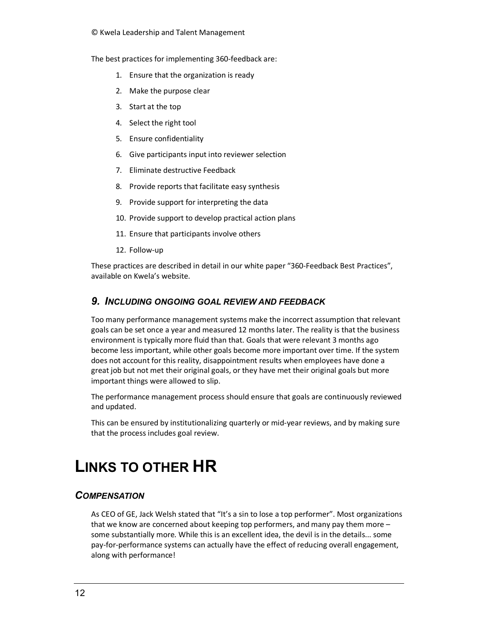#### © Kwela Leadership and Talent Management

The best practices for implementing 360-feedback are:

- 1. Ensure that the organization is ready
- 2. Make the purpose clear
- 3. Start at the top
- 4. Select the right tool
- 5. Ensure confidentiality
- 6. Give participants input into reviewer selection
- 7. Eliminate destructive Feedback
- 8. Provide reports that facilitate easy synthesis
- 9. Provide support for interpreting the data
- 10. Provide support to develop practical action plans
- 11. Ensure that participants involve others
- 12. Follow-up

These practices are described in detail in our white paper "360-Feedback Best Practices", available on Kwela's website.

#### *9. INCLUDING ONGOING GOAL REVIEW AND FEEDBACK*

Too many performance management systems make the incorrect assumption that relevant goals can be set once a year and measured 12 months later. The reality is that the business environment is typically more fluid than that. Goals that were relevant 3 months ago become less important, while other goals become more important over time. If the system does not account for this reality, disappointment results when employees have done a great job but not met their original goals, or they have met their original goals but more important things were allowed to slip.

The performance management process should ensure that goals are continuously reviewed and updated.

This can be ensured by institutionalizing quarterly or mid-year reviews, and by making sure that the process includes goal review.

# **LINKS TO OTHER HR**

#### *COMPENSATION*

As CEO of GE, Jack Welsh stated that "It's a sin to lose a top performer". Most organizations that we know are concerned about keeping top performers, and many pay them more – some substantially more. While this is an excellent idea, the devil is in the details... some pay-for-performance systems can actually have the effect of reducing overall engagement, along with performance!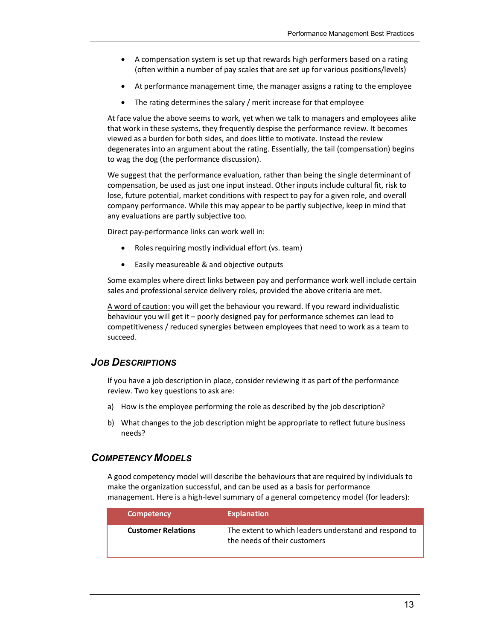- A compensation system is set up that rewards high performers based on a rating (often within a number of pay scales that are set up for various positions/levels)
- At performance management time, the manager assigns a rating to the employee
- The rating determines the salary / merit increase for that employee

At face value the above seems to work, yet when we talk to managers and employees alike that work in these systems, they frequently despise the performance review. It becomes viewed as a burden for both sides, and does little to motivate. Instead the review degenerates into an argument about the rating. Essentially, the tail (compensation) begins to wag the dog (the performance discussion).

We suggest that the performance evaluation, rather than being the single determinant of compensation, be used as just one input instead. Other inputs include cultural fit, risk to lose, future potential, market conditions with respect to pay for a given role, and overall company performance. While this may appear to be partly subjective, keep in mind that any evaluations are partly subjective too.

Direct pay-performance links can work well in:

- Roles requiring mostly individual effort (vs. team)
- Easily measureable & and objective outputs

Some examples where direct links between pay and performance work well include certain sales and professional service delivery roles, provided the above criteria are met.

A word of caution: you will get the behaviour you reward. If you reward individualistic behaviour you will get it – poorly designed pay for performance schemes can lead to competitiveness / reduced synergies between employees that need to work as a team to succeed.

#### *JOB DESCRIPTIONS*

If you have a job description in place, consider reviewing it as part of the performance review. Two key questions to ask are:

- a) How is the employee performing the role as described by the job description?
- b) What changes to the job description might be appropriate to reflect future business needs?

#### *COMPETENCY MODELS*

A good competency model will describe the behaviours that are required by individuals to make the organization successful, and can be used as a basis for performance management. Here is a high-level summary of a general competency model (for leaders):

| <b>Competency</b>         | <b>Explanation</b>                                                                    |
|---------------------------|---------------------------------------------------------------------------------------|
| <b>Customer Relations</b> | The extent to which leaders understand and respond to<br>the needs of their customers |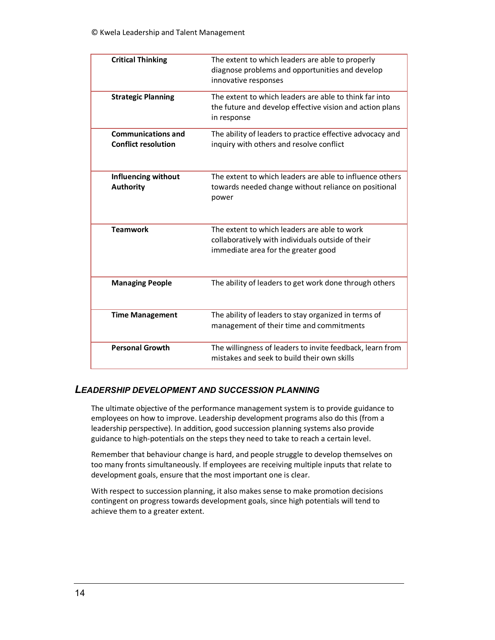| <b>Critical Thinking</b>                                | The extent to which leaders are able to properly<br>diagnose problems and opportunities and develop<br>innovative responses              |
|---------------------------------------------------------|------------------------------------------------------------------------------------------------------------------------------------------|
| <b>Strategic Planning</b>                               | The extent to which leaders are able to think far into<br>the future and develop effective vision and action plans<br>in response        |
| <b>Communications and</b><br><b>Conflict resolution</b> | The ability of leaders to practice effective advocacy and<br>inquiry with others and resolve conflict                                    |
| <b>Influencing without</b><br><b>Authority</b>          | The extent to which leaders are able to influence others<br>towards needed change without reliance on positional<br>power                |
| <b>Teamwork</b>                                         | The extent to which leaders are able to work<br>collaboratively with individuals outside of their<br>immediate area for the greater good |
| <b>Managing People</b>                                  | The ability of leaders to get work done through others                                                                                   |
| <b>Time Management</b>                                  | The ability of leaders to stay organized in terms of<br>management of their time and commitments                                         |
| <b>Personal Growth</b>                                  | The willingness of leaders to invite feedback, learn from<br>mistakes and seek to build their own skills                                 |

## *LEADERSHIP DEVELOPMENT AND SUCCESSION PLANNING*

The ultimate objective of the performance management system is to provide guidance to employees on how to improve. Leadership development programs also do this (from a leadership perspective). In addition, good succession planning systems also provide guidance to high-potentials on the steps they need to take to reach a certain level.

Remember that behaviour change is hard, and people struggle to develop themselves on too many fronts simultaneously. If employees are receiving multiple inputs that relate to development goals, ensure that the most important one is clear.

With respect to succession planning, it also makes sense to make promotion decisions contingent on progress towards development goals, since high potentials will tend to achieve them to a greater extent.